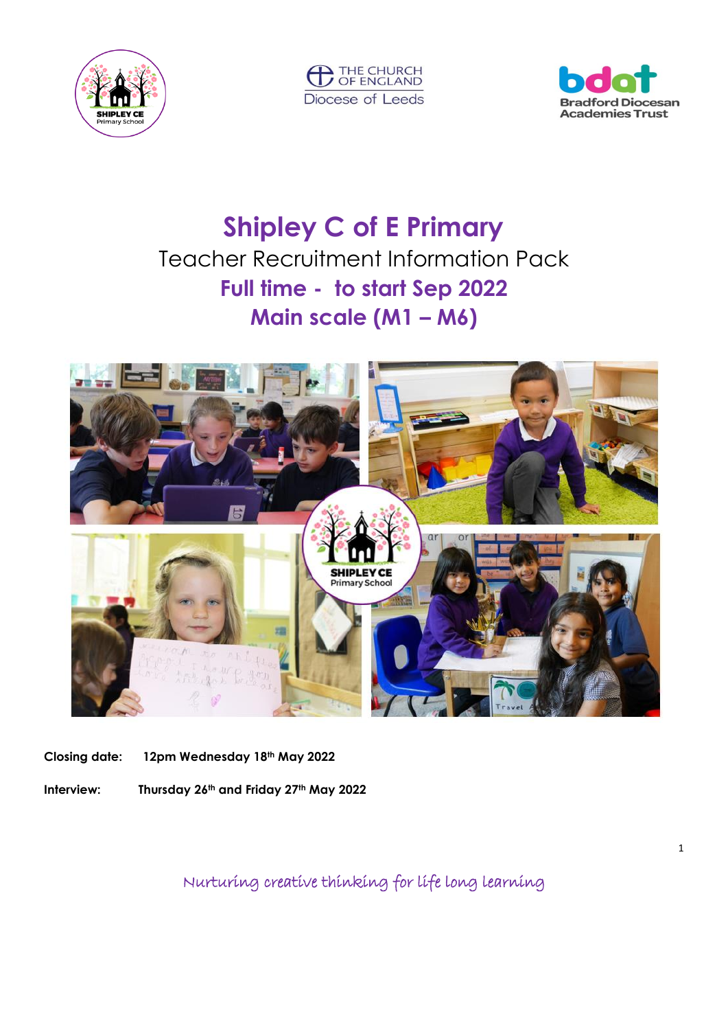

THE CHURCH Diocese of Leeds



1

# **Shipley C of E Primary** Teacher Recruitment Information Pack **Full time - to start Sep 2022 Main scale (M1 – M6)**



- **Closing date: 12pm Wednesday 18th May 2022**
- **Interview: Thursday 26th and Friday 27th May 2022**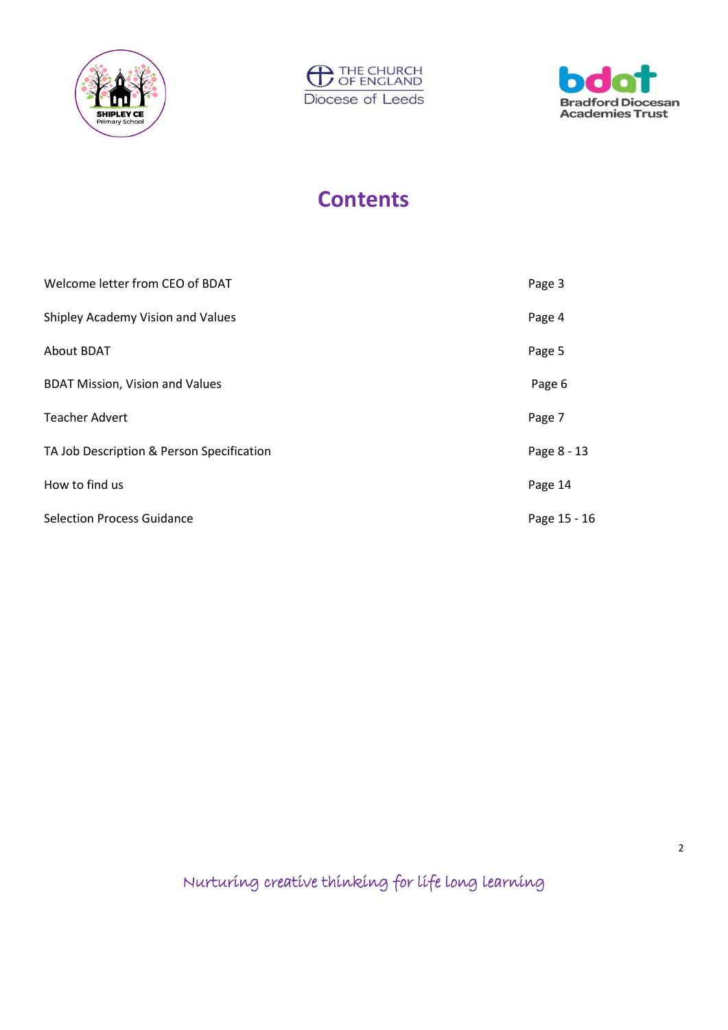





# **Contents**

| Welcome letter from CEO of BDAT           | Page 3       |
|-------------------------------------------|--------------|
| Shipley Academy Vision and Values         | Page 4       |
| About BDAT                                | Page 5       |
| <b>BDAT Mission, Vision and Values</b>    | Page 6       |
| <b>Teacher Advert</b>                     | Page 7       |
| TA Job Description & Person Specification | Page 8 - 13  |
| How to find us                            | Page 14      |
| <b>Selection Process Guidance</b>         | Page 15 - 16 |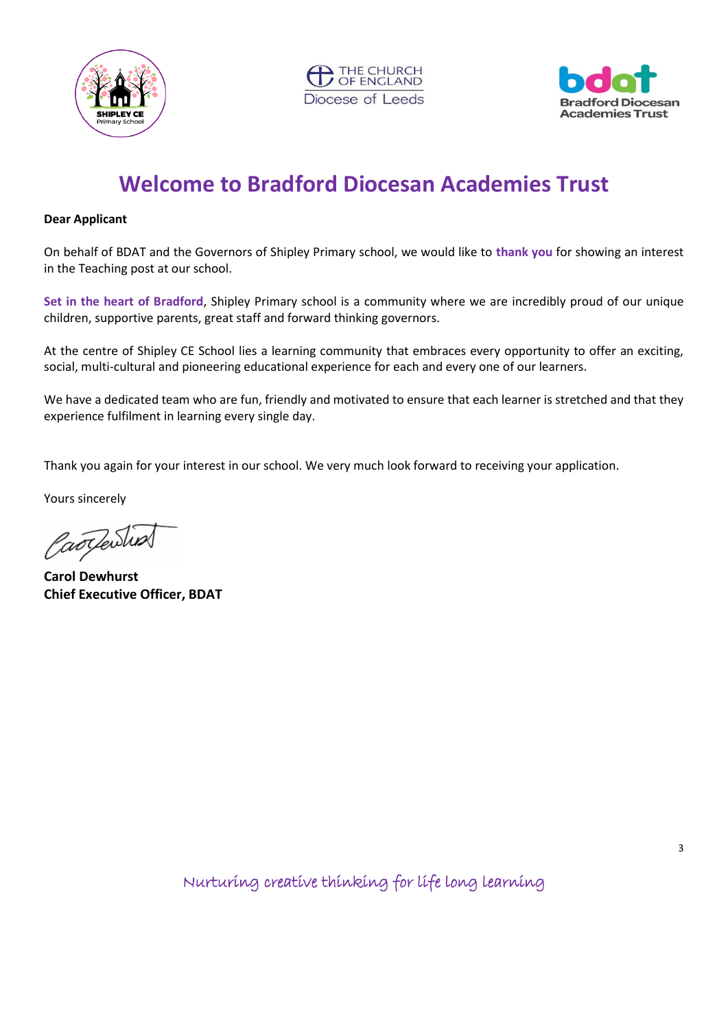





# **Welcome to Bradford Diocesan Academies Trust**

# **Dear Applicant**

On behalf of BDAT and the Governors of Shipley Primary school, we would like to **thank you** for showing an interest in the Teaching post at our school.

**Set in the heart of Bradford**, Shipley Primary school is a community where we are incredibly proud of our unique children, supportive parents, great staff and forward thinking governors.

At the centre of Shipley CE School lies a learning community that embraces every opportunity to offer an exciting, social, multi-cultural and pioneering educational experience for each and every one of our learners.

We have a dedicated team who are fun, friendly and motivated to ensure that each learner is stretched and that they experience fulfilment in learning every single day.

Thank you again for your interest in our school. We very much look forward to receiving your application.

Yours sincerely

Cargenlund

**Carol Dewhurst Chief Executive Officer, BDAT**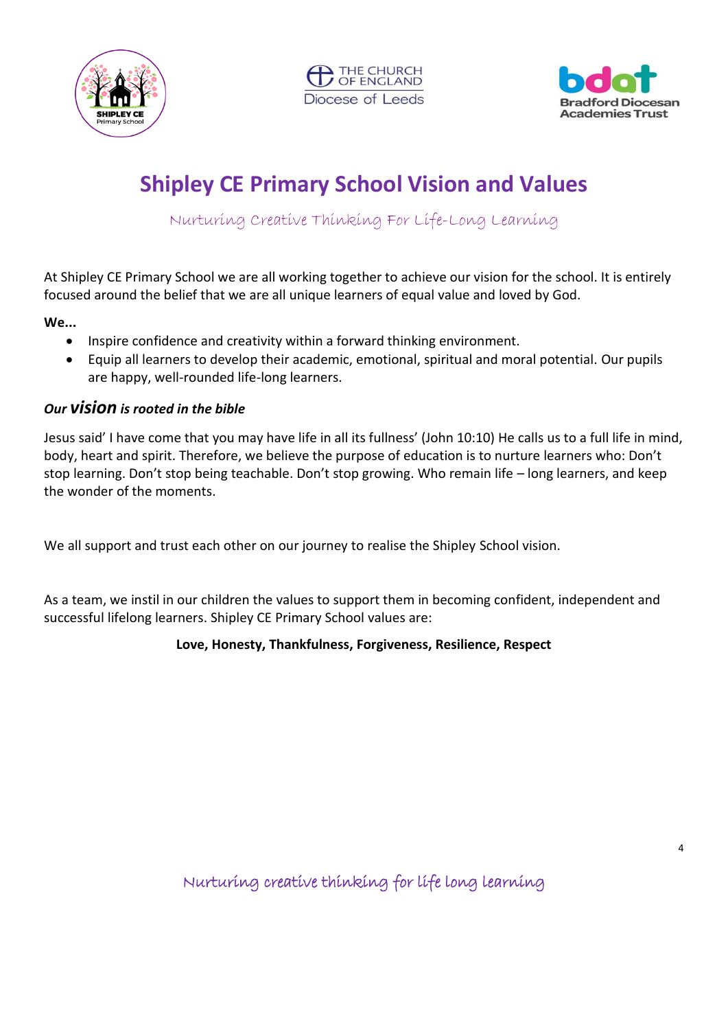





# **Shipley CE Primary School Vision and Values**

Nurturing Creative Thinking For Life-Long Learning

At Shipley CE Primary School we are all working together to achieve our vision for the school. It is entirely focused around the belief that we are all unique learners of equal value and loved by God.

**We...**

- Inspire confidence and creativity within a forward thinking environment.
- Equip all learners to develop their academic, emotional, spiritual and moral potential. Our pupils are happy, well-rounded life-long learners.

# *Our vision is rooted in the bible*

Jesus said' I have come that you may have life in all its fullness' (John 10:10) He calls us to a full life in mind, body, heart and spirit. Therefore, we believe the purpose of education is to nurture learners who: Don't stop learning. Don't stop being teachable. Don't stop growing. Who remain life – long learners, and keep the wonder of the moments.

We all support and trust each other on our journey to realise the Shipley School vision.

As a team, we instil in our children the values to support them in becoming confident, independent and successful lifelong learners. Shipley CE Primary School values are:

# **Love, Honesty, Thankfulness, Forgiveness, Resilience, Respect**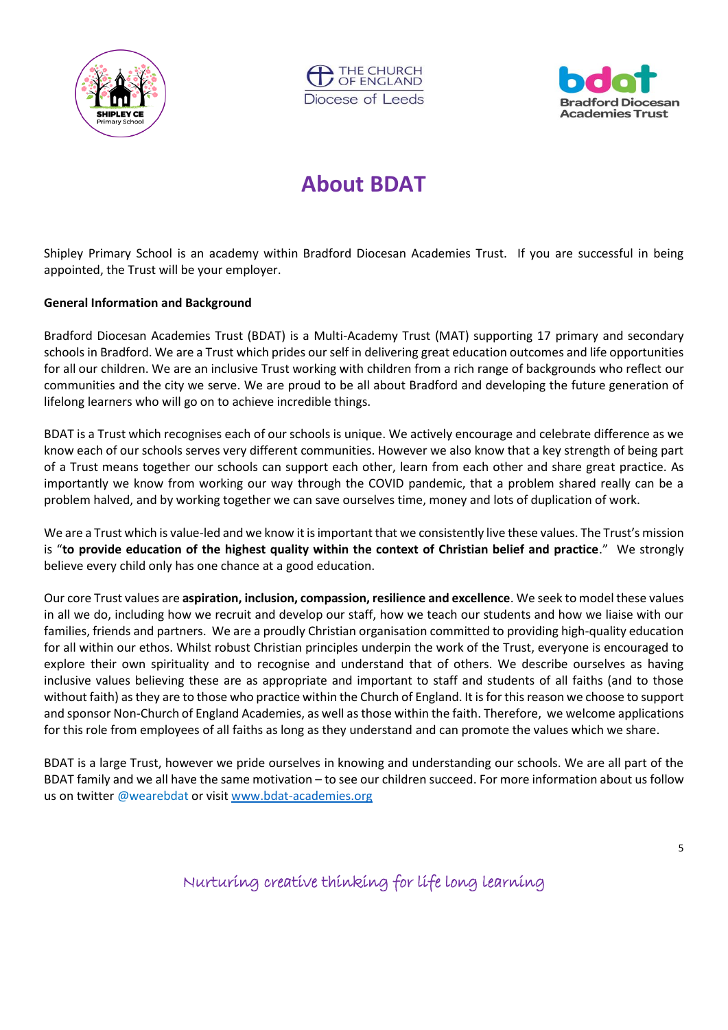

**THE CHURCH** OF ENGLAND Diocese of Leeds



# **About BDAT**

Shipley Primary School is an academy within Bradford Diocesan Academies Trust. If you are successful in being appointed, the Trust will be your employer.

# **General Information and Background**

Bradford Diocesan Academies Trust (BDAT) is a Multi-Academy Trust (MAT) supporting 17 primary and secondary schools in Bradford. We are a Trust which prides our self in delivering great education outcomes and life opportunities for all our children. We are an inclusive Trust working with children from a rich range of backgrounds who reflect our communities and the city we serve. We are proud to be all about Bradford and developing the future generation of lifelong learners who will go on to achieve incredible things.

BDAT is a Trust which recognises each of our schools is unique. We actively encourage and celebrate difference as we know each of our schools serves very different communities. However we also know that a key strength of being part of a Trust means together our schools can support each other, learn from each other and share great practice. As importantly we know from working our way through the COVID pandemic, that a problem shared really can be a problem halved, and by working together we can save ourselves time, money and lots of duplication of work.

We are a Trust which is value-led and we know it is important that we consistently live these values. The Trust's mission is "**to provide education of the highest quality within the context of Christian belief and practice**." We strongly believe every child only has one chance at a good education.

Our core Trust values are **aspiration, inclusion, compassion, resilience and excellence**. We seek to model these values in all we do, including how we recruit and develop our staff, how we teach our students and how we liaise with our families, friends and partners. We are a proudly Christian organisation committed to providing high-quality education for all within our ethos. Whilst robust Christian principles underpin the work of the Trust, everyone is encouraged to explore their own spirituality and to recognise and understand that of others. We describe ourselves as having inclusive values believing these are as appropriate and important to staff and students of all faiths (and to those without faith) as they are to those who practice within the Church of England. It is for this reason we choose to support and sponsor Non-Church of England Academies, as well as those within the faith. Therefore, we welcome applications for this role from employees of all faiths as long as they understand and can promote the values which we share.

BDAT is a large Trust, however we pride ourselves in knowing and understanding our schools. We are all part of the BDAT family and we all have the same motivation – to see our children succeed. For more information about us follow us on twitter @wearebdat or visit [www.bdat-academies.org](http://www.bdat-academies.org/)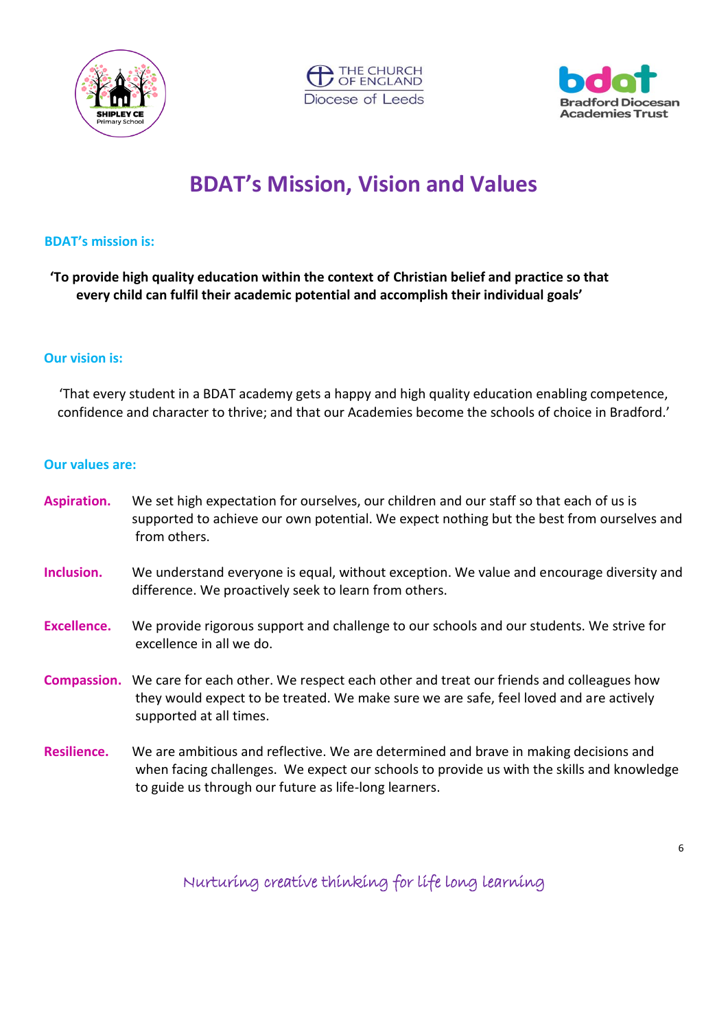





# **BDAT's Mission, Vision and Values**

# **BDAT's mission is:**

**'To provide high quality education within the context of Christian belief and practice so that every child can fulfil their academic potential and accomplish their individual goals'**

# **Our vision is:**

'That every student in a BDAT academy gets a happy and high quality education enabling competence, confidence and character to thrive; and that our Academies become the schools of choice in Bradford.'

# **Our values are:**

**Aspiration.** We set high expectation for ourselves, our children and our staff so that each of us is supported to achieve our own potential. We expect nothing but the best from ourselves and from others. **Inclusion.** We understand everyone is equal, without exception. We value and encourage diversity and difference. We proactively seek to learn from others. **Excellence.** We provide rigorous support and challenge to our schools and our students. We strive for excellence in all we do. **Compassion.** We care for each other. We respect each other and treat our friends and colleagues how they would expect to be treated. We make sure we are safe, feel loved and are actively supported at all times. **Resilience.** We are ambitious and reflective. We are determined and brave in making decisions and when facing challenges. We expect our schools to provide us with the skills and knowledge to guide us through our future as life-long learners.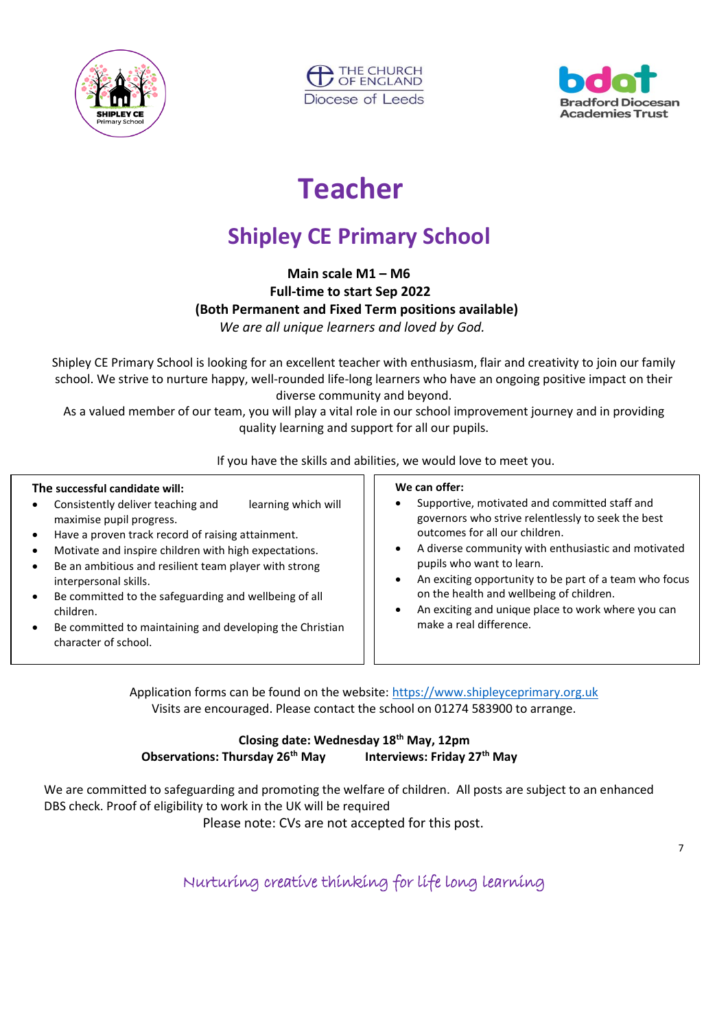

THE CHURCH<br>OF ENGLAND Diocese of Leeds



# **Teacher**

# **Shipley CE Primary School**

 **Main scale M1 – M6 Full-time to start Sep 2022 (Both Permanent and Fixed Term positions available)**  *We are all unique learners and loved by God.*

Shipley CE Primary School is looking for an excellent teacher with enthusiasm, flair and creativity to join our family school. We strive to nurture happy, well-rounded life-long learners who have an ongoing positive impact on their diverse community and beyond.

As a valued member of our team, you will play a vital role in our school improvement journey and in providing quality learning and support for all our pupils.

If you have the skills and abilities, we would love to meet you.

| The successful candidate will:<br>Consistently deliver teaching and<br>learning which will<br>maximise pupil progress.<br>Have a proven track record of raising attainment.<br>Motivate and inspire children with high expectations.<br>$\bullet$<br>Be an ambitious and resilient team player with strong<br>interpersonal skills.<br>Be committed to the safeguarding and wellbeing of all<br>$\bullet$<br>children.<br>Be committed to maintaining and developing the Christian<br>character of school. | We can offer:<br>Supportive, motivated and committed staff and<br>governors who strive relentlessly to seek the best<br>outcomes for all our children.<br>A diverse community with enthusiastic and motivated<br>pupils who want to learn.<br>An exciting opportunity to be part of a team who focus<br>on the health and wellbeing of children.<br>An exciting and unique place to work where you can<br>make a real difference. |
|------------------------------------------------------------------------------------------------------------------------------------------------------------------------------------------------------------------------------------------------------------------------------------------------------------------------------------------------------------------------------------------------------------------------------------------------------------------------------------------------------------|-----------------------------------------------------------------------------------------------------------------------------------------------------------------------------------------------------------------------------------------------------------------------------------------------------------------------------------------------------------------------------------------------------------------------------------|
|------------------------------------------------------------------------------------------------------------------------------------------------------------------------------------------------------------------------------------------------------------------------------------------------------------------------------------------------------------------------------------------------------------------------------------------------------------------------------------------------------------|-----------------------------------------------------------------------------------------------------------------------------------------------------------------------------------------------------------------------------------------------------------------------------------------------------------------------------------------------------------------------------------------------------------------------------------|

Application forms can be found on the website[: https://www.shipleyceprimary.org.uk](https://www.shipleyceprimary.org.uk/) Visits are encouraged. Please contact the school on 01274 583900 to arrange.

**Closing date: Wednesday 18th May, 12pm Observations: Thursday 26th May Interviews: Friday 27th May**

We are committed to safeguarding and promoting the welfare of children. All posts are subject to an enhanced DBS check. Proof of eligibility to work in the UK will be required

Please note: CVs are not accepted for this post.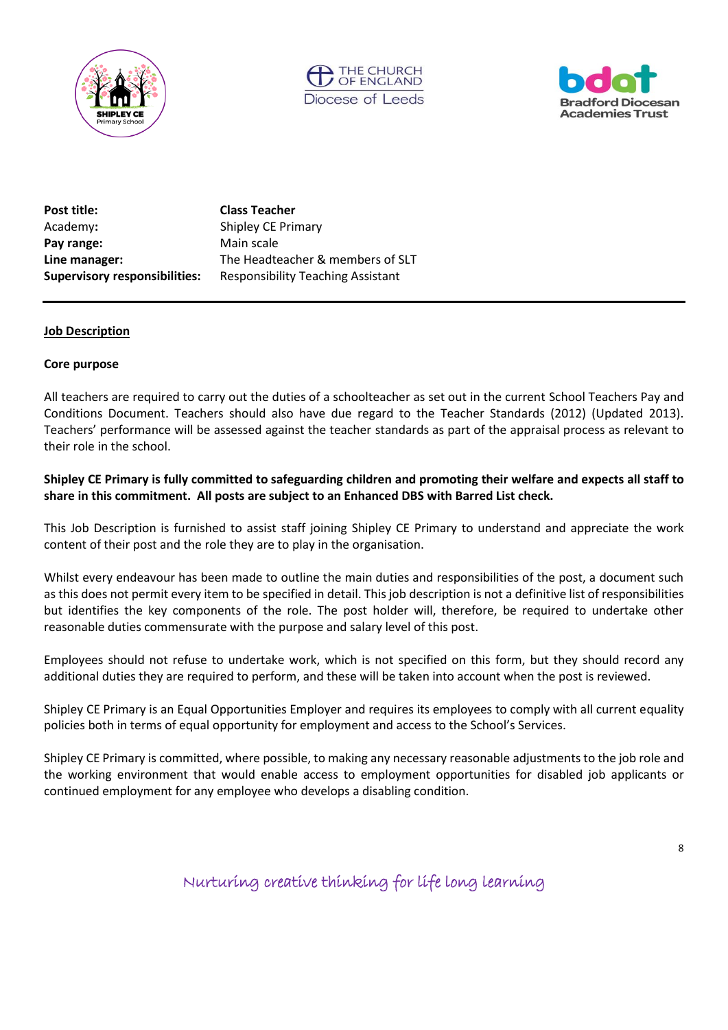





**Post title: Class Teacher** Academy**:** Shipley CE Primary **Pay range:** Main scale **Supervisory responsibilities:** Responsibility Teaching Assistant

**Line manager:** The Headteacher & members of SLT

# **Job Description**

# **Core purpose**

All teachers are required to carry out the duties of a schoolteacher as set out in the current [School Teachers Pay and](https://www.education.gov.uk/publications/)  [Conditions Document.](https://www.education.gov.uk/publications/) Teachers should also have due regard to the Teacher Standards (2012) (Updated 2013). Teachers' performance will be assessed against the teacher [standards](https://www.education.gov.uk/publications/standard/publicationDetail/Page1/DFE-00066-2011) as part of the appraisal process as relevant to their role in the school.

# Shipley CE Primary is fully committed to safeguarding children and promoting their welfare and expects all staff to **share in this commitment. All posts are subject to an Enhanced DBS with Barred List check.**

This Job Description is furnished to assist staff joining Shipley CE Primary to understand and appreciate the work content of their post and the role they are to play in the organisation.

Whilst every endeavour has been made to outline the main duties and responsibilities of the post, a document such as this does not permit every item to be specified in detail. This job description is not a definitive list of responsibilities but identifies the key components of the role. The post holder will, therefore, be required to undertake other reasonable duties commensurate with the purpose and salary level of this post.

Employees should not refuse to undertake work, which is not specified on this form, but they should record any additional duties they are required to perform, and these will be taken into account when the post is reviewed.

Shipley CE Primary is an Equal Opportunities Employer and requires its employees to comply with all current equality policies both in terms of equal opportunity for employment and access to the School's Services.

Shipley CE Primary is committed, where possible, to making any necessary reasonable adjustments to the job role and the working environment that would enable access to employment opportunities for disabled job applicants or continued employment for any employee who develops a disabling condition.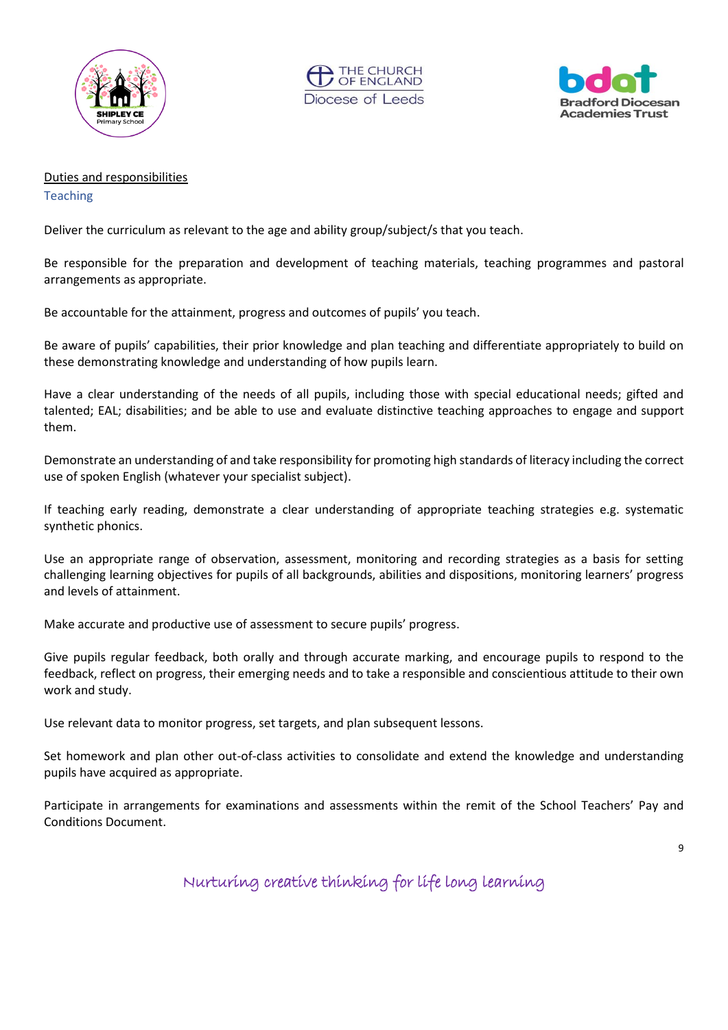

THE CHURCH OF ENGLAND Diocese of Leeds



Duties and responsibilities **Teaching** 

Deliver the curriculum as relevant to the age and ability group/subject/s that you teach.

Be responsible for the preparation and development of teaching materials, teaching programmes and pastoral arrangements as appropriate.

Be accountable for the attainment, progress and outcomes of pupils' you teach.

Be aware of pupils' capabilities, their prior knowledge and plan teaching and differentiate appropriately to build on these demonstrating knowledge and understanding of how pupils learn.

Have a clear understanding of the needs of all pupils, including those with special educational needs; gifted and talented; EAL; disabilities; and be able to use and evaluate distinctive teaching approaches to engage and support them.

Demonstrate an understanding of and take responsibility for promoting high standards of literacy including the correct use of spoken English (whatever your specialist subject).

If teaching early reading, demonstrate a clear understanding of appropriate teaching strategies e.g. systematic synthetic phonics.

Use an appropriate range of observation, assessment, monitoring and recording strategies as a basis for setting challenging learning objectives for pupils of all backgrounds, abilities and dispositions, monitoring learners' progress and levels of attainment.

Make accurate and productive use of assessment to secure pupils' progress.

Give pupils regular feedback, both orally and through accurate marking, and encourage pupils to respond to the feedback, reflect on progress, their emerging needs and to take a responsible and conscientious attitude to their own work and study.

Use relevant data to monitor progress, set targets, and plan subsequent lessons.

Set homework and plan other out-of-class activities to consolidate and extend the knowledge and understanding pupils have acquired as appropriate.

Participate in arrangements for examinations and assessments within the remit of the School Teachers' Pay and Conditions Document.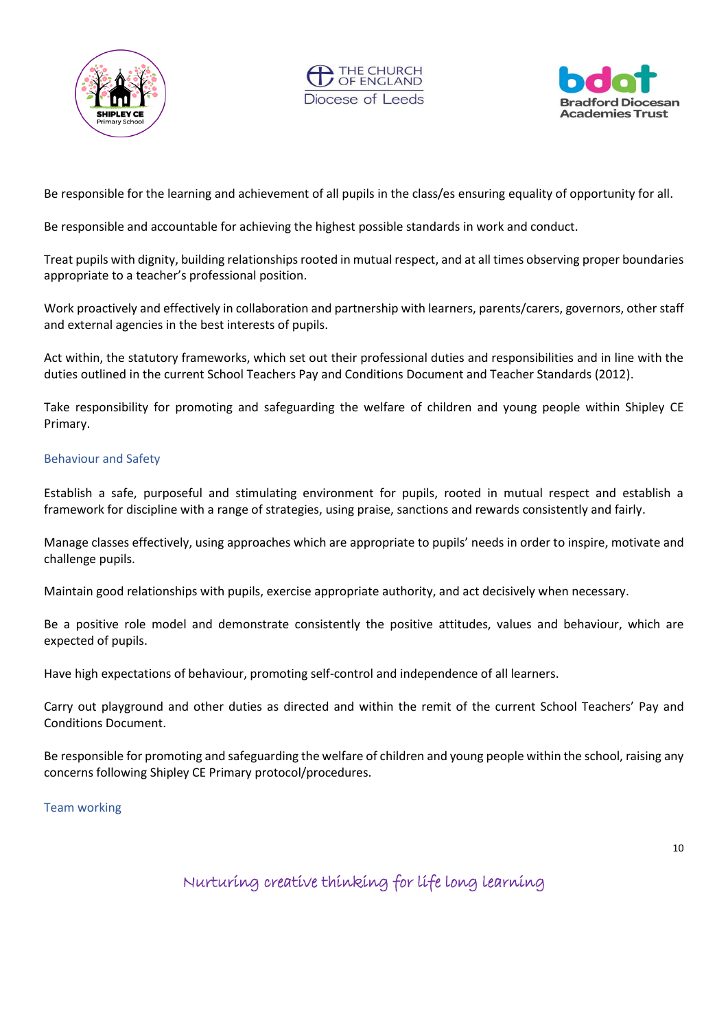





Be responsible for the learning and achievement of all pupils in the class/es ensuring equality of opportunity for all.

Be responsible and accountable for achieving the highest possible standards in work and conduct.

Treat pupils with dignity, building relationships rooted in mutual respect, and at all times observing proper boundaries appropriate to a teacher's professional position.

Work proactively and effectively in collaboration and partnership with learners, parents/carers, governors, other staff and external agencies in the best interests of pupils.

Act within, the statutory frameworks, which set out their professional duties and responsibilities and in line with the duties outlined in the current School Teachers Pay and Conditions Document and Teacher Standards (2012).

Take responsibility for promoting and safeguarding the welfare of children and young people within Shipley CE Primary.

# Behaviour and Safety

Establish a safe, purposeful and stimulating environment for pupils, rooted in mutual respect and establish a framework for discipline with a range of strategies, using praise, sanctions and rewards consistently and fairly.

Manage classes effectively, using approaches which are appropriate to pupils' needs in order to inspire, motivate and challenge pupils.

Maintain good relationships with pupils, exercise appropriate authority, and act decisively when necessary.

Be a positive role model and demonstrate consistently the positive attitudes, values and behaviour, which are expected of pupils.

Have high expectations of behaviour, promoting self-control and independence of all learners.

Carry out playground and other duties as directed and within the remit of the current School Teachers' Pay and Conditions Document.

Be responsible for promoting and safeguarding the welfare of children and young people within the school, raising any concerns following Shipley CE Primary protocol/procedures.

#### Team working

10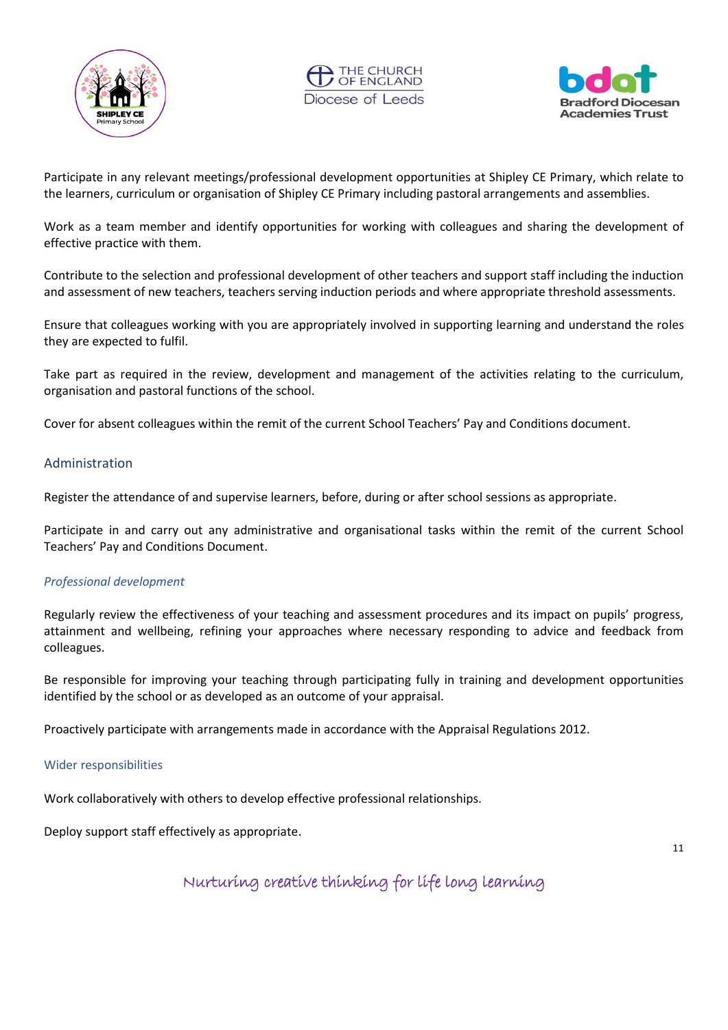





Participate in any relevant meetings/professional development opportunities at Shipley CE Primary, which relate to the learners, curriculum or organisation of Shipley CE Primary including pastoral arrangements and assemblies.

Work as a team member and identify opportunities for working with colleagues and sharing the development of effective practice with them.

Contribute to the selection and professional development of other teachers and support staff including the induction and assessment of new teachers, teachers serving induction periods and where appropriate threshold assessments.

Ensure that colleagues working with you are appropriately involved in supporting learning and understand the roles they are expected to fulfil.

Take part as required in the review, development and management of the activities relating to the curriculum, organisation and pastoral functions of the school.

Cover for absent colleagues within the remit of the current School Teachers' Pay and Conditions document.

# Administration

Register the attendance of and supervise learners, before, during or after school sessions as appropriate.

Participate in and carry out any administrative and organisational tasks within the remit of the current School Teachers' Pay and Conditions Document.

# *Professional development*

Regularly review the effectiveness of your teaching and assessment procedures and its impact on pupils' progress, attainment and wellbeing, refining your approaches where necessary responding to advice and feedback from colleagues.

Be responsible for improving your teaching through participating fully in training and development opportunities identified by the school or as developed as an outcome of your appraisal.

Proactively participate with arrangements made in accordance with the Appraisal Regulations 2012.

# Wider responsibilities

Work collaboratively with others to develop effective professional relationships.

Deploy support staff effectively as appropriate.

11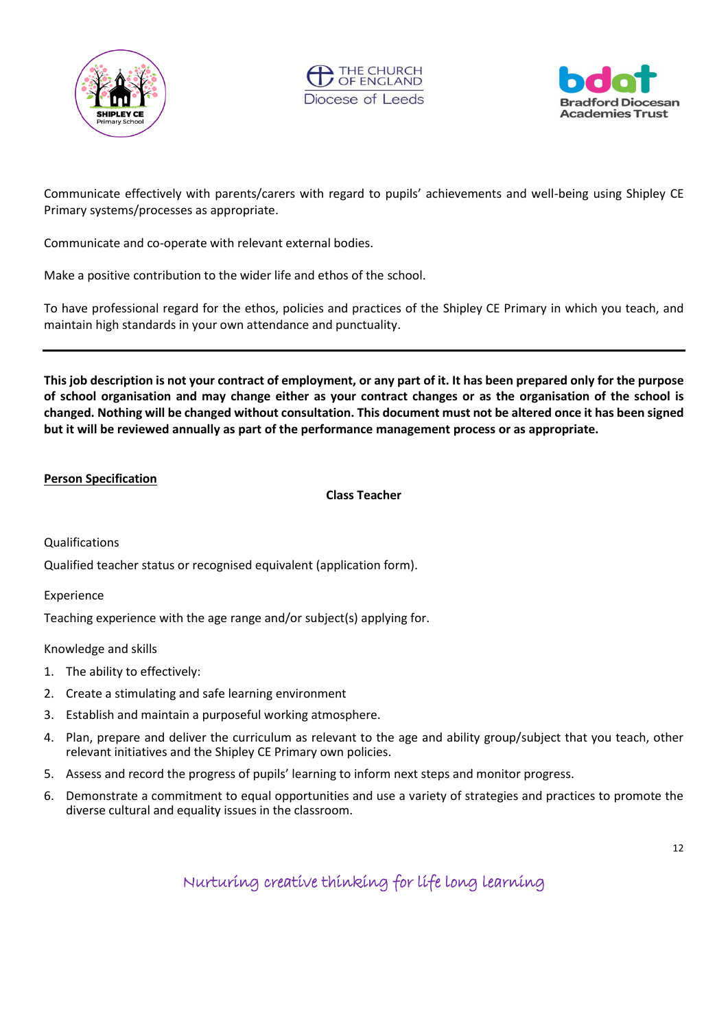





Communicate effectively with parents/carers with regard to pupils' achievements and well-being using Shipley CE Primary systems/processes as appropriate.

Communicate and co-operate with relevant external bodies.

Make a positive contribution to the wider life and ethos of the school.

To have professional regard for the ethos, policies and practices of the Shipley CE Primary in which you teach, and maintain high standards in your own attendance and punctuality.

This job description is not your contract of employment, or any part of it. It has been prepared only for the purpose of school organisation and may change either as your contract changes or as the organisation of the school is changed. Nothing will be changed without consultation. This document must not be altered once it has been signed **but it will be reviewed annually as part of the performance management process or as appropriate.**

# **Person Specification**

**Class Teacher** 

Qualifications

Qualified teacher status or recognised equivalent (application form).

Experience

Teaching experience with the age range and/or subject(s) applying for.

Knowledge and skills

- 1. The ability to effectively:
- 2. Create a stimulating and safe learning environment
- 3. Establish and maintain a purposeful working atmosphere.
- 4. Plan, prepare and deliver the curriculum as relevant to the age and ability group/subject that you teach, other relevant initiatives and the Shipley CE Primary own policies.
- 5. Assess and record the progress of pupils' learning to inform next steps and monitor progress.
- 6. Demonstrate a commitment to equal opportunities and use a variety of strategies and practices to promote the diverse cultural and equality issues in the classroom.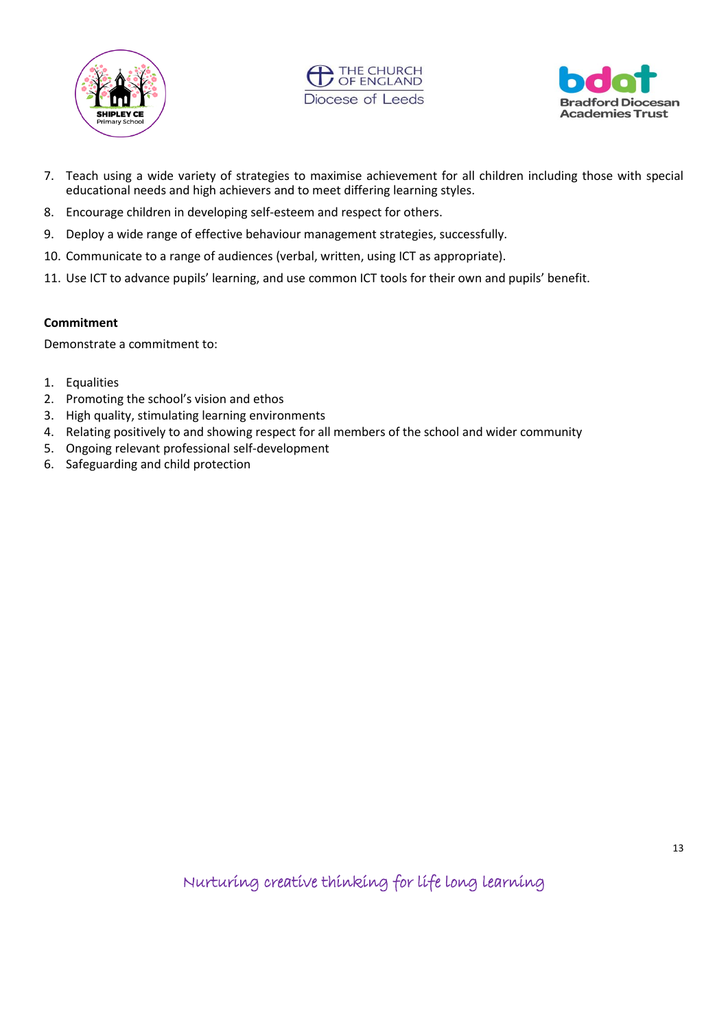





- 7. Teach using a wide variety of strategies to maximise achievement for all children including those with special educational needs and high achievers and to meet differing learning styles.
- 8. Encourage children in developing self-esteem and respect for others.
- 9. Deploy a wide range of effective behaviour management strategies, successfully.
- 10. Communicate to a range of audiences (verbal, written, using ICT as appropriate).
- 11. Use ICT to advance pupils' learning, and use common ICT tools for their own and pupils' benefit.

# **Commitment**

Demonstrate a commitment to:

- 1. Equalities
- 2. Promoting the school's vision and ethos
- 3. High quality, stimulating learning environments
- 4. Relating positively to and showing respect for all members of the school and wider community
- 5. Ongoing relevant professional self-development
- 6. Safeguarding and child protection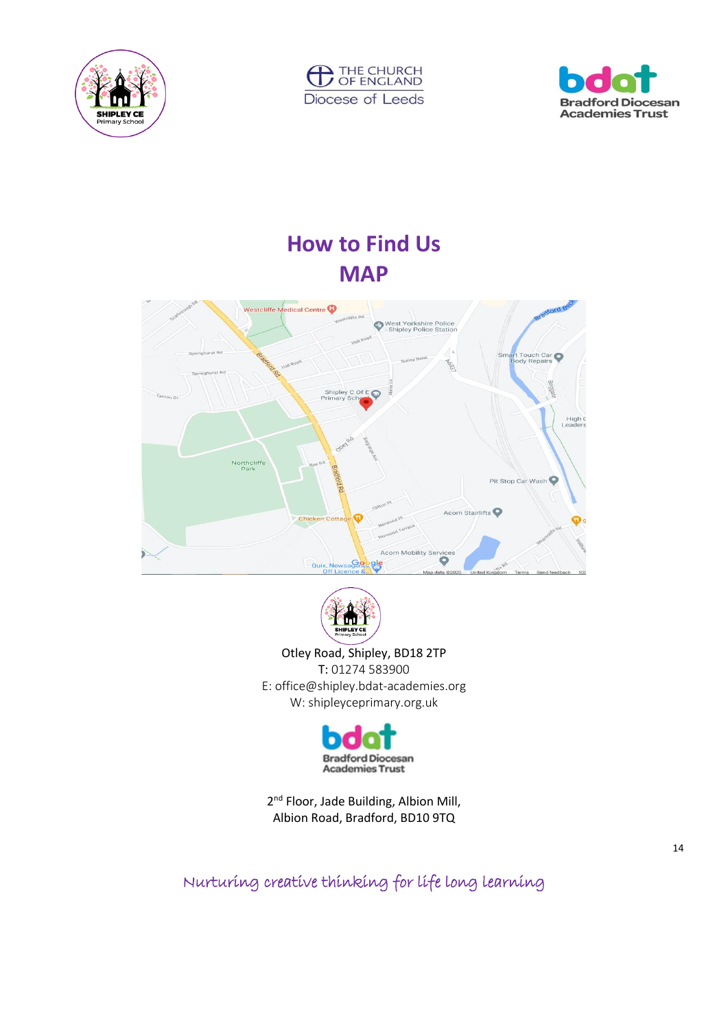





# **How to Find Us MAP**





Otley Road, Shipley, BD18 2TP T: [01274 583900](https://www.google.com/search?q=shipley+primary+schools+shi&rlz=1C1CHBF_en-GBGB923GB923&oq=shipley+primary+schools+shi&aqs=chrome..69i57j0i22i30i457j69i60.5471j0j4&sourceid=chrome&ie=UTF-8) E: [office@shipley.bd](mailto:office@shipley.bradford.sch.uk)at-academies.org W: shipleyceprimary.org.uk



2<sup>nd</sup> Floor, Jade Building, Albion Mill, Albion Road, Bradford, BD10 9TQ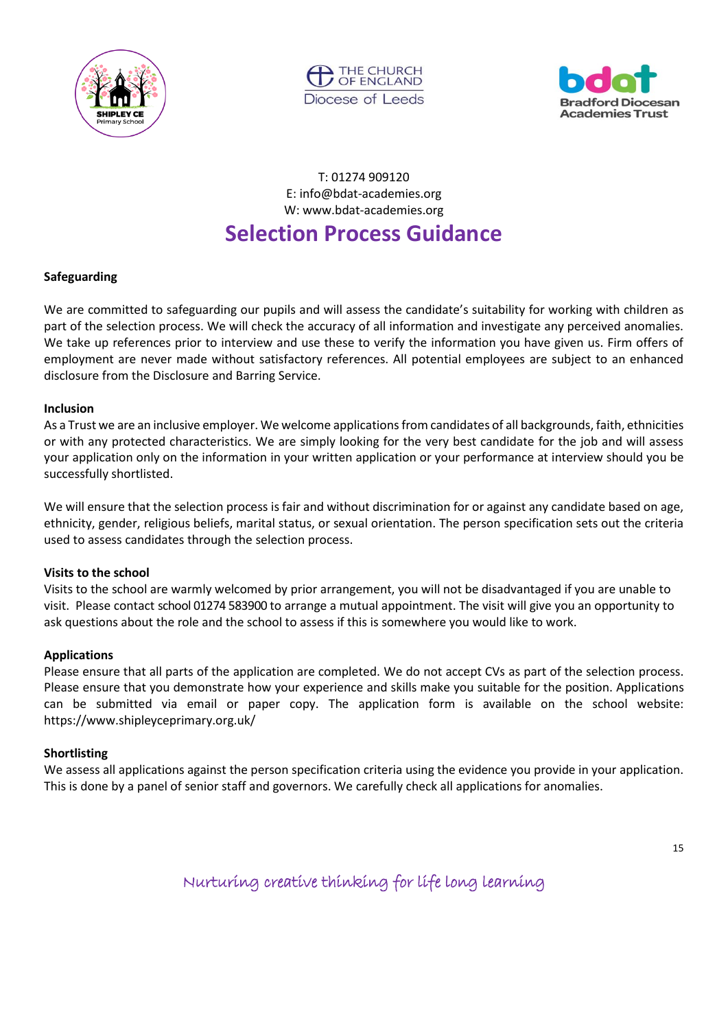





T: 01274 909120 E: info@bdat-academies.org W: www.bdat-academies.org

# **Selection Process Guidance**

# **Safeguarding**

We are committed to safeguarding our pupils and will assess the candidate's suitability for working with children as part of the selection process. We will check the accuracy of all information and investigate any perceived anomalies. We take up references prior to interview and use these to verify the information you have given us. Firm offers of employment are never made without satisfactory references. All potential employees are subject to an enhanced disclosure from the Disclosure and Barring Service.

# **Inclusion**

As a Trust we are an inclusive employer. We welcome applications from candidates of all backgrounds, faith, ethnicities or with any protected characteristics. We are simply looking for the very best candidate for the job and will assess your application only on the information in your written application or your performance at interview should you be successfully shortlisted.

We will ensure that the selection process is fair and without discrimination for or against any candidate based on age, ethnicity, gender, religious beliefs, marital status, or sexual orientation. The person specification sets out the criteria used to assess candidates through the selection process.

# **Visits to the school**

Visits to the school are warmly welcomed by prior arrangement, you will not be disadvantaged if you are unable to visit. Please contact school 01274 583900 to arrange a mutual appointment. The visit will give you an opportunity to ask questions about the role and the school to assess if this is somewhere you would like to work.

# **Applications**

Please ensure that all parts of the application are completed. We do not accept CVs as part of the selection process. Please ensure that you demonstrate how your experience and skills make you suitable for the position. Applications can be submitted via email or paper copy. The application form is available on the school website: https://www.shipleyceprimary.org.uk/

# **Shortlisting**

We assess all applications against the person specification criteria using the evidence you provide in your application. This is done by a panel of senior staff and governors. We carefully check all applications for anomalies.